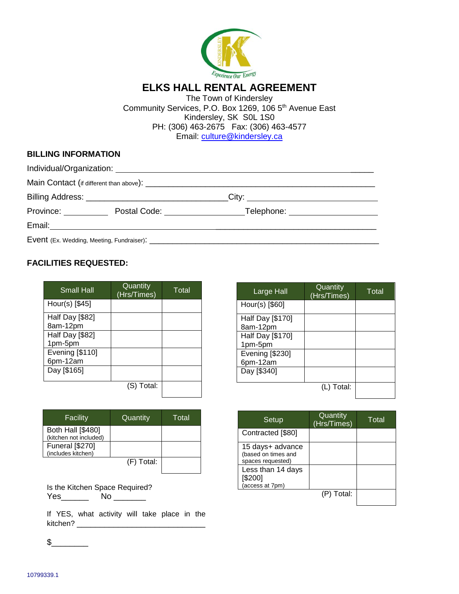

The Town of Kindersley Community Services, P.O. Box 1269, 106 5<sup>th</sup> Avenue East Kindersley, SK S0L 1S0 PH: (306) 463-2675 Fax: (306) 463-4577 Email: [culture@kindersley.ca](mailto:culture@kindersley.ca)

# **BILLING INFORMATION**

|                               | Billing Address: _________________________________ |                                  |  |
|-------------------------------|----------------------------------------------------|----------------------------------|--|
| Province: <u>____________</u> | Postal Code: <u>_____________________</u>          | Telephone: _____________________ |  |
|                               |                                                    |                                  |  |
|                               |                                                    |                                  |  |

## **FACILITIES REQUESTED:**

| <b>Small Hall</b> | Quantity<br>(Hrs/Times) | Total |
|-------------------|-------------------------|-------|
| Hour(s) [\$45]    |                         |       |
| Half Day [\$82]   |                         |       |
| 8am-12pm          |                         |       |
| Half Day [\$82]   |                         |       |
| 1pm-5pm           |                         |       |
| Evening [\$110]   |                         |       |
| 6pm-12am          |                         |       |
| Day [\$165]       |                         |       |
|                   |                         |       |
|                   | Total:<br>(S)           |       |

| Facility                                           | Quantity   | Total |
|----------------------------------------------------|------------|-------|
| <b>Both Hall [\$480]</b><br>(kitchen not included) |            |       |
| <b>Funeral</b> [\$270]<br>(includes kitchen)       |            |       |
|                                                    | (F) Total: |       |

|     | Is the Kitchen Space Required? |
|-----|--------------------------------|
| Yes | Nο                             |

If YES, what activity will take place in the kitchen? \_\_\_\_\_\_\_\_\_\_\_\_\_\_\_\_\_\_\_\_\_\_\_\_\_\_\_\_

Large Hall Quantity **Cuannity** Total<br>(Hrs/Times) Total Hour(s) [\$60] Half Day [\$170] 8am-12pm Half Day [\$170] 1pm-5pm Evening [\$230] 6pm-12am Day [\$340] (L) Total:

| Setup                                                        | Quantity<br>(Hrs/Times) | Total |
|--------------------------------------------------------------|-------------------------|-------|
| Contracted [\$80]                                            |                         |       |
| 15 days+ advance<br>(based on times and<br>spaces requested) |                         |       |
| Less than 14 days<br>[\$200]<br>(access at 7pm)              |                         |       |
|                                                              | Total:<br>(P)           |       |

 $\mathfrak s$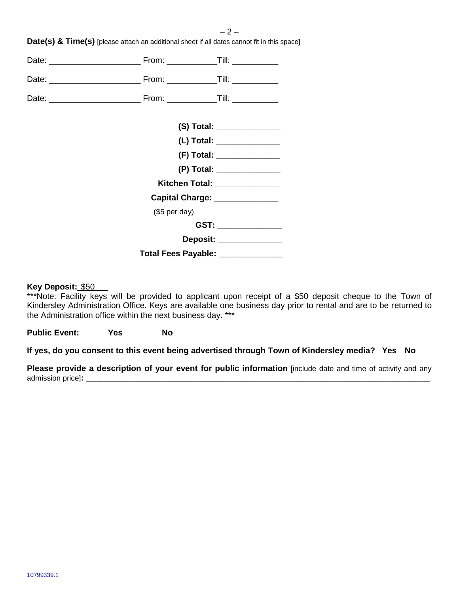|               | (S) Total: _______________         |
|---------------|------------------------------------|
|               | (L) Total: ________________        |
|               | (F) Total: ________________        |
|               | (P) Total: ________________        |
|               | Kitchen Total: _______________     |
|               | Capital Charge: ______________     |
| (\$5 per day) |                                    |
|               | GST: _______________               |
|               | Deposit: ______________            |
|               | Total Fees Payable: ______________ |
|               |                                    |

**Date(s) & Time(s)** [please attach an additional sheet if all dates cannot fit in this space]

## **Key Deposit:** \$50

\*\*\*Note: Facility keys will be provided to applicant upon receipt of a \$50 deposit cheque to the Town of Kindersley Administration Office. Keys are available one business day prior to rental and are to be returned to the Administration office within the next business day. \*\*\*

**Public Event: Yes No**

**If yes, do you consent to this event being advertised through Town of Kindersley media? Yes No**

**Please provide a description of your event for public information** [include date and time of activity and any admission price]**: \_\_\_\_\_\_\_\_\_\_\_\_\_\_\_\_\_\_\_\_\_\_\_\_\_\_\_\_\_\_\_\_\_\_\_\_\_\_\_\_\_\_\_\_\_\_\_\_\_\_\_\_\_\_\_\_\_\_\_\_\_\_\_\_\_\_\_\_\_\_\_\_\_\_\_**

 $-2-$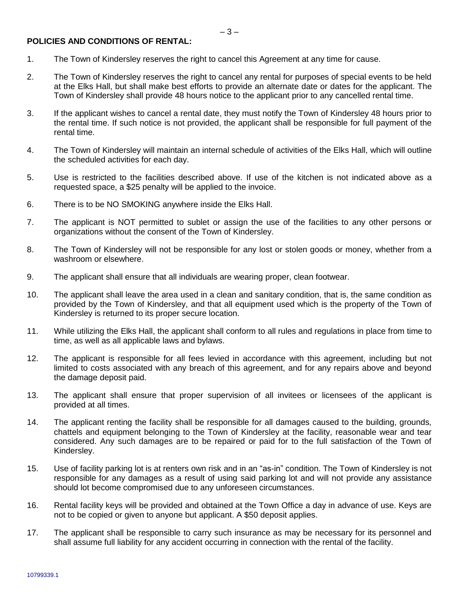#### **POLICIES AND CONDITIONS OF RENTAL:**

- 1. The Town of Kindersley reserves the right to cancel this Agreement at any time for cause.
- 2. The Town of Kindersley reserves the right to cancel any rental for purposes of special events to be held at the Elks Hall, but shall make best efforts to provide an alternate date or dates for the applicant. The Town of Kindersley shall provide 48 hours notice to the applicant prior to any cancelled rental time.
- 3. If the applicant wishes to cancel a rental date, they must notify the Town of Kindersley 48 hours prior to the rental time. If such notice is not provided, the applicant shall be responsible for full payment of the rental time.
- 4. The Town of Kindersley will maintain an internal schedule of activities of the Elks Hall, which will outline the scheduled activities for each day.
- 5. Use is restricted to the facilities described above. If use of the kitchen is not indicated above as a requested space, a \$25 penalty will be applied to the invoice.
- 6. There is to be NO SMOKING anywhere inside the Elks Hall.
- 7. The applicant is NOT permitted to sublet or assign the use of the facilities to any other persons or organizations without the consent of the Town of Kindersley.
- 8. The Town of Kindersley will not be responsible for any lost or stolen goods or money, whether from a washroom or elsewhere.
- 9. The applicant shall ensure that all individuals are wearing proper, clean footwear.
- 10. The applicant shall leave the area used in a clean and sanitary condition, that is, the same condition as provided by the Town of Kindersley, and that all equipment used which is the property of the Town of Kindersley is returned to its proper secure location.
- 11. While utilizing the Elks Hall, the applicant shall conform to all rules and regulations in place from time to time, as well as all applicable laws and bylaws.
- 12. The applicant is responsible for all fees levied in accordance with this agreement, including but not limited to costs associated with any breach of this agreement, and for any repairs above and beyond the damage deposit paid.
- 13. The applicant shall ensure that proper supervision of all invitees or licensees of the applicant is provided at all times.
- 14. The applicant renting the facility shall be responsible for all damages caused to the building, grounds, chattels and equipment belonging to the Town of Kindersley at the facility, reasonable wear and tear considered. Any such damages are to be repaired or paid for to the full satisfaction of the Town of Kindersley.
- 15. Use of facility parking lot is at renters own risk and in an "as-in" condition. The Town of Kindersley is not responsible for any damages as a result of using said parking lot and will not provide any assistance should lot become compromised due to any unforeseen circumstances.
- 16. Rental facility keys will be provided and obtained at the Town Office a day in advance of use. Keys are not to be copied or given to anyone but applicant. A \$50 deposit applies.
- 17. The applicant shall be responsible to carry such insurance as may be necessary for its personnel and shall assume full liability for any accident occurring in connection with the rental of the facility.